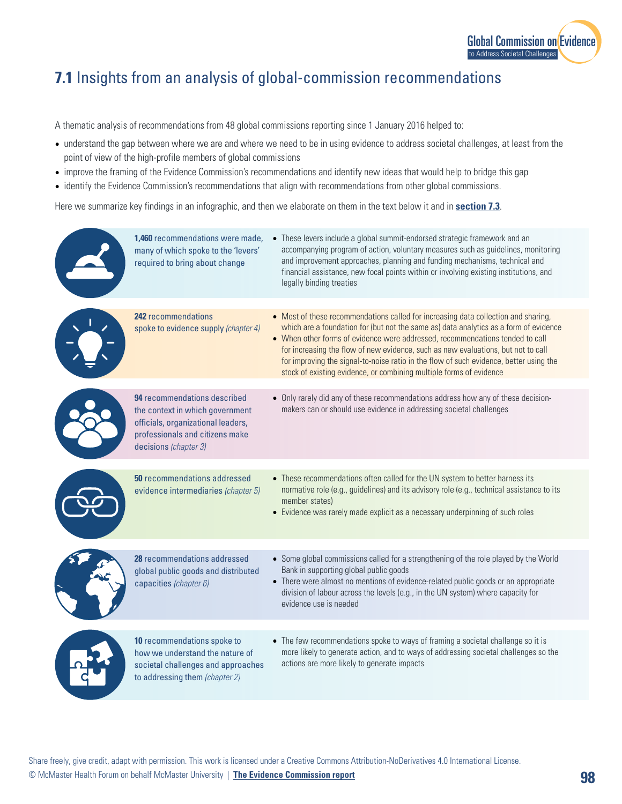

## **7.1** Insights from an analysis of global-commission recommendations

A thematic analysis of recommendations from 48 global commissions reporting since 1 January 2016 helped to:

- understand the gap between where we are and where we need to be in using evidence to address societal challenges, at least from the point of view of the high-profile members of global commissions
- improve the framing of the Evidence Commission's recommendations and identify new ideas that would help to bridge this gap
- identify the Evidence Commission's recommendations that align with recommendations from other global commissions.

Here we summarize key findings in an infographic, and then we elaborate on them in the text below it and in **section 7.3**.

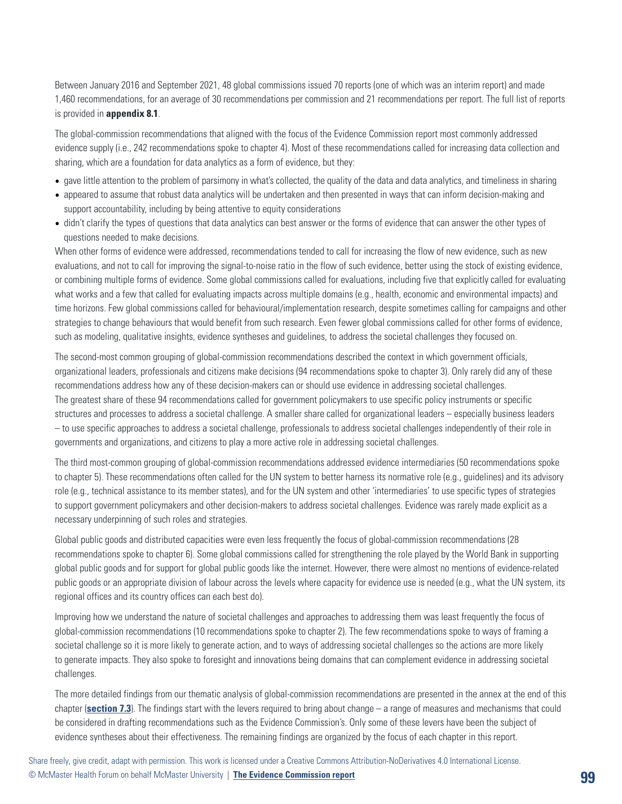Between January 2016 and September 2021, 48 global commissions issued 70 reports (one of which was an interim report) and made 1,460 recommendations, for an average of 30 recommendations per commission and 21 recommendations per report. The full list of reports is provided in **appendix 8.1**.

The global-commission recommendations that aligned with the focus of the Evidence Commission report most commonly addressed evidence supply (i.e., 242 recommendations spoke to chapter 4). Most of these recommendations called for increasing data collection and sharing, which are a foundation for data analytics as a form of evidence, but they:

- gave little attention to the problem of parsimony in what's collected, the quality of the data and data analytics, and timeliness in sharing
- appeared to assume that robust data analytics will be undertaken and then presented in ways that can inform decision-making and support accountability, including by being attentive to equity considerations
- didn't clarify the types of questions that data analytics can best answer or the forms of evidence that can answer the other types of questions needed to make decisions.

When other forms of evidence were addressed, recommendations tended to call for increasing the flow of new evidence, such as new evaluations, and not to call for improving the signal-to-noise ratio in the flow of such evidence, better using the stock of existing evidence, or combining multiple forms of evidence. Some global commissions called for evaluations, including five that explicitly called for evaluating what works and a few that called for evaluating impacts across multiple domains (e.g., health, economic and environmental impacts) and time horizons. Few global commissions called for behavioural/implementation research, despite sometimes calling for campaigns and other strategies to change behaviours that would benefit from such research. Even fewer global commissions called for other forms of evidence, such as modeling, qualitative insights, evidence syntheses and guidelines, to address the societal challenges they focused on.

The second-most common grouping of global-commission recommendations described the context in which government officials, organizational leaders, professionals and citizens make decisions (94 recommendations spoke to chapter 3). Only rarely did any of these recommendations address how any of these decision-makers can or should use evidence in addressing societal challenges. The greatest share of these 94 recommendations called for government policymakers to use specific policy instruments or specific structures and processes to address a societal challenge. A smaller share called for organizational leaders – especially business leaders – to use specific approaches to address a societal challenge, professionals to address societal challenges independently of their role in governments and organizations, and citizens to play a more active role in addressing societal challenges.

The third most-common grouping of global-commission recommendations addressed evidence intermediaries (50 recommendations spoke to chapter 5). These recommendations often called for the UN system to better harness its normative role (e.g., guidelines) and its advisory role (e.g., technical assistance to its member states), and for the UN system and other 'intermediaries' to use specific types of strategies to support government policymakers and other decision-makers to address societal challenges. Evidence was rarely made explicit as a necessary underpinning of such roles and strategies.

Global public goods and distributed capacities were even less frequently the focus of global-commission recommendations (28 recommendations spoke to chapter 6). Some global commissions called for strengthening the role played by the World Bank in supporting global public goods and for support for global public goods like the internet. However, there were almost no mentions of evidence-related public goods or an appropriate division of labour across the levels where capacity for evidence use is needed (e.g., what the UN system, its regional offices and its country offices can each best do).

Improving how we understand the nature of societal challenges and approaches to addressing them was least frequently the focus of global-commission recommendations (10 recommendations spoke to chapter 2). The few recommendations spoke to ways of framing a societal challenge so it is more likely to generate action, and to ways of addressing societal challenges so the actions are more likely to generate impacts. They also spoke to foresight and innovations being domains that can complement evidence in addressing societal challenges.

The more detailed findings from our thematic analysis of global-commission recommendations are presented in the annex at the end of this chapter (**section 7.3**). The findings start with the levers required to bring about change – a range of measures and mechanisms that could be considered in drafting recommendations such as the Evidence Commission's. Only some of these levers have been the subject of evidence syntheses about their effectiveness. The remaining findings are organized by the focus of each chapter in this report.

Share freely, give credit, adapt with permission. This work is licensed under a Creative Commons Attribution-NoDerivatives 4.0 International License. © McMaster Health Forum on behalf McMaster University | **[The Evidence Commission report](https://www.mcmasterforum.org/networks/evidence-commission/report/english)**